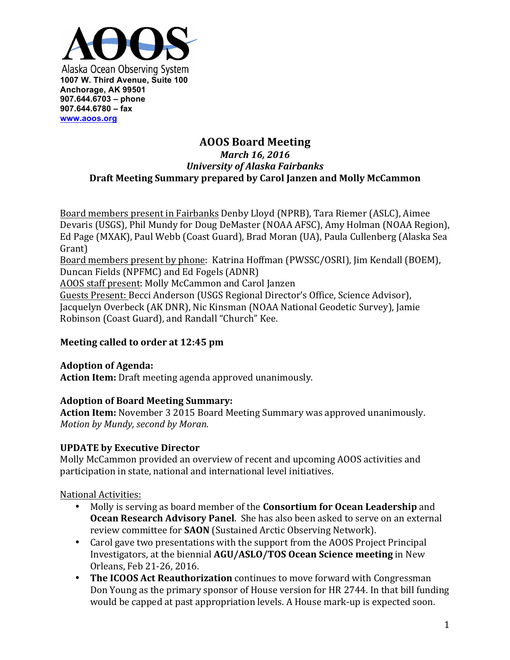

# **AOOS Board Meeting** *March 16, 2016 University of Alaska Fairbanks* **Draft Meeting Summary prepared by Carol Janzen and Molly McCammon**

Board members present in Fairbanks Denby Lloyd (NPRB), Tara Riemer (ASLC), Aimee Devaris (USGS), Phil Mundy for Doug DeMaster (NOAA AFSC), Amy Holman (NOAA Region), Ed Page (MXAK), Paul Webb (Coast Guard), Brad Moran (UA), Paula Cullenberg (Alaska Sea Grant) Board members present by phone: Katrina Hoffman (PWSSC/OSRI), Jim Kendall (BOEM), Duncan Fields (NPFMC) and Ed Fogels (ADNR) AOOS staff present: Molly McCammon and Carol Janzen Guests Present: Becci Anderson (USGS Regional Director's Office, Science Advisor), Jacquelyn Overbeck (AK DNR), Nic Kinsman (NOAA National Geodetic Survey), Jamie

Robinson (Coast Guard), and Randall "Church" Kee.

# **Meeting called to order at 12:45 pm**

#### **Adoption of Agenda: Action Item:** Draft meeting agenda approved unanimously.

# **Adoption of Board Meeting Summary:**

**Action Item:** November 3 2015 Board Meeting Summary was approved unanimously. *Motion by Mundy, second by Moran.* 

# **UPDATE by Executive Director**

Molly McCammon provided an overview of recent and upcoming AOOS activities and participation in state, national and international level initiatives.

National Activities:

- Molly is serving as board member of the **Consortium for Ocean Leadership** and **Ocean Research Advisory Panel**. She has also been asked to serve on an external review committee for **SAON** (Sustained Arctic Observing Network).
- Carol gave two presentations with the support from the AOOS Project Principal Investigators, at the biennial **AGU/ASLO/TOS Ocean Science meeting** in New Orleans, Feb 21-26, 2016.
- The ICOOS Act Reauthorization continues to move forward with Congressman Don Young as the primary sponsor of House version for HR 2744. In that bill funding would be capped at past appropriation levels. A House mark-up is expected soon.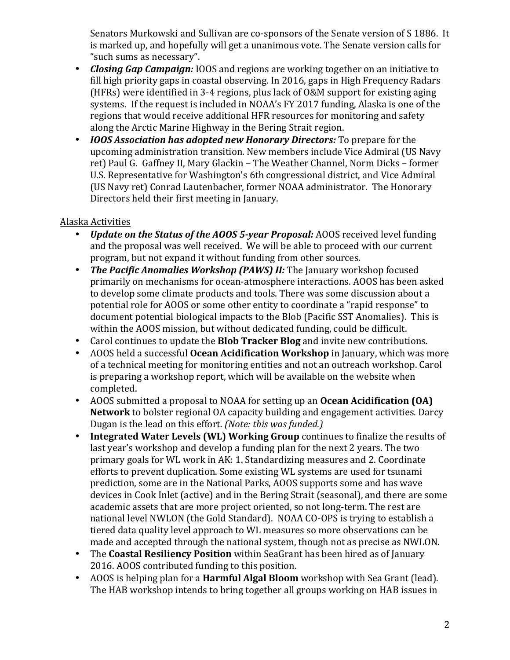Senators Murkowski and Sullivan are co-sponsors of the Senate version of S 1886. It is marked up, and hopefully will get a unanimous vote. The Senate version calls for "such sums as necessary".

- **Closing Gap Campaign:** IOOS and regions are working together on an initiative to fill high priority gaps in coastal observing. In 2016, gaps in High Frequency Radars (HFRs) were identified in 3-4 regions, plus lack of  $0&M$  support for existing aging systems. If the request is included in NOAA's FY 2017 funding, Alaska is one of the regions that would receive additional HFR resources for monitoring and safety along the Arctic Marine Highway in the Bering Strait region.
- *IOOS Association has adopted new Honorary Directors:* **To prepare for the** upcoming administration transition. New members include Vice Admiral (US Navy ret) Paul G. Gaffney II, Mary Glackin - The Weather Channel, Norm Dicks - former U.S. Representative for Washington's 6th congressional district, and Vice Admiral (US Navy ret) Conrad Lautenbacher, former NOAA administrator. The Honorary Directors held their first meeting in January.

# Alaska Activities

- *Update on the Status of the AOOS 5-year Proposal:* AOOS received level funding and the proposal was well received. We will be able to proceed with our current program, but not expand it without funding from other sources.
- *The Pacific Anomalies Workshop (PAWS) II:* **The January workshop focused** primarily on mechanisms for ocean-atmosphere interactions. AOOS has been asked to develop some climate products and tools. There was some discussion about a potential role for AOOS or some other entity to coordinate a "rapid response" to document potential biological impacts to the Blob (Pacific SST Anomalies). This is within the AOOS mission, but without dedicated funding, could be difficult.
- Carol continues to update the **Blob Tracker Blog** and invite new contributions.
- AOOS held a successful **Ocean Acidification Workshop** in January, which was more of a technical meeting for monitoring entities and not an outreach workshop. Carol is preparing a workshop report, which will be available on the website when completed.
- AOOS submitted a proposal to NOAA for setting up an **Ocean Acidification (OA) Network** to bolster regional OA capacity building and engagement activities. Darcy Dugan is the lead on this effort. *(Note: this was funded.)*
- **Integrated Water Levels (WL) Working Group** continues to finalize the results of last year's workshop and develop a funding plan for the next 2 years. The two primary goals for WL work in AK: 1. Standardizing measures and 2. Coordinate efforts to prevent duplication. Some existing WL systems are used for tsunami prediction, some are in the National Parks, AOOS supports some and has wave devices in Cook Inlet (active) and in the Bering Strait (seasonal), and there are some academic assets that are more project oriented, so not long-term. The rest are national level NWLON (the Gold Standard). NOAA CO-OPS is trying to establish a tiered data quality level approach to WL measures so more observations can be made and accepted through the national system, though not as precise as NWLON.
- The **Coastal Resiliency Position** within SeaGrant has been hired as of January 2016. AOOS contributed funding to this position.
- AOOS is helping plan for a **Harmful Algal Bloom** workshop with Sea Grant (lead). The HAB workshop intends to bring together all groups working on HAB issues in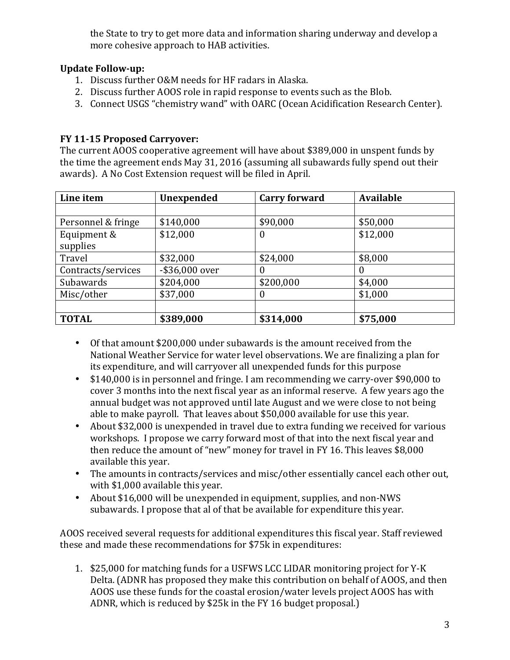the State to try to get more data and information sharing underway and develop a more cohesive approach to HAB activities.

# **Update Follow-up:**

- 1. Discuss further O&M needs for HF radars in Alaska.
- 2. Discuss further AOOS role in rapid response to events such as the Blob.
- 3. Connect USGS "chemistry wand" with OARC (Ocean Acidification Research Center).

# **FY 11-15 Proposed Carryover:**

The current AOOS cooperative agreement will have about \$389,000 in unspent funds by the time the agreement ends May 31, 2016 (assuming all subawards fully spend out their awards). A No Cost Extension request will be filed in April.

| Line item          | <b>Unexpended</b> | <b>Carry forward</b> | <b>Available</b> |
|--------------------|-------------------|----------------------|------------------|
|                    |                   |                      |                  |
| Personnel & fringe | \$140,000         | \$90,000             | \$50,000         |
| Equipment &        | \$12,000          | $\bf{0}$             | \$12,000         |
| supplies           |                   |                      |                  |
| Travel             | \$32,000          | \$24,000             | \$8,000          |
| Contracts/services | -\$36,000 over    | $\theta$             |                  |
| Subawards          | \$204,000         | \$200,000            | \$4,000          |
| Misc/other         | \$37,000          | $\overline{0}$       | \$1,000          |
|                    |                   |                      |                  |
| <b>TOTAL</b>       | \$389,000         | \$314,000            | \$75,000         |

- Of that amount \$200,000 under subawards is the amount received from the National Weather Service for water level observations. We are finalizing a plan for its expenditure, and will carryover all unexpended funds for this purpose
- \$140,000 is in personnel and fringe. I am recommending we carry-over \$90.000 to cover 3 months into the next fiscal year as an informal reserve. A few years ago the annual budget was not approved until late August and we were close to not being able to make payroll. That leaves about \$50,000 available for use this year.
- About \$32,000 is unexpended in travel due to extra funding we received for various workshops. I propose we carry forward most of that into the next fiscal year and then reduce the amount of "new" money for travel in FY 16. This leaves \$8,000 available this year.
- The amounts in contracts/services and misc/other essentially cancel each other out, with \$1,000 available this year.
- About \$16,000 will be unexpended in equipment, supplies, and non-NWS subawards. I propose that al of that be available for expenditure this year.

AOOS received several requests for additional expenditures this fiscal year. Staff reviewed these and made these recommendations for \$75k in expenditures:

1. \$25,000 for matching funds for a USFWS LCC LIDAR monitoring project for Y-K Delta. (ADNR has proposed they make this contribution on behalf of AOOS, and then AOOS use these funds for the coastal erosion/water levels project AOOS has with ADNR, which is reduced by \$25k in the FY 16 budget proposal.)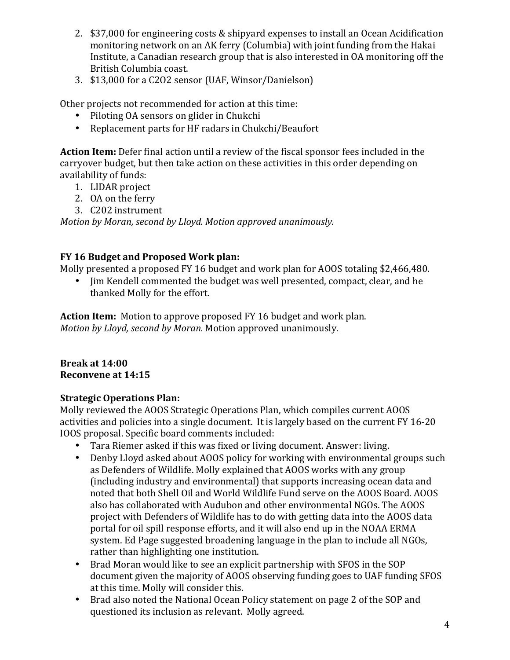- 2. \$37,000 for engineering costs & shipyard expenses to install an Ocean Acidification monitoring network on an AK ferry (Columbia) with joint funding from the Hakai Institute, a Canadian research group that is also interested in OA monitoring off the British Columbia coast.
- 3. \$13,000 for a C2O2 sensor (UAF, Winsor/Danielson)

Other projects not recommended for action at this time:

- Piloting OA sensors on glider in Chukchi
- Replacement parts for HF radars in Chukchi/Beaufort

**Action Item:** Defer final action until a review of the fiscal sponsor fees included in the carryover budget, but then take action on these activities in this order depending on availability of funds:

- 1. LIDAR project
- 2. OA on the ferry
- 3. C202 instrument

*Motion by Moran, second by Lloyd. Motion approved unanimously.* 

# **FY 16 Budget and Proposed Work plan:**

Molly presented a proposed FY 16 budget and work plan for AOOS totaling \$2,466,480.

• Jim Kendell commented the budget was well presented, compact, clear, and he thanked Molly for the effort.

**Action Item:** Motion to approve proposed FY 16 budget and work plan. *Motion by Lloyd, second by Moran.* Motion approved unanimously.

#### **Break at 14:00 Reconvene at 14:15**

# **Strategic Operations Plan:**

Molly reviewed the AOOS Strategic Operations Plan, which compiles current AOOS activities and policies into a single document. It is largely based on the current FY 16-20 IOOS proposal. Specific board comments included:

- Tara Riemer asked if this was fixed or living document. Answer: living.
- Denby Lloyd asked about AOOS policy for working with environmental groups such as Defenders of Wildlife. Molly explained that AOOS works with any group (including industry and environmental) that supports increasing ocean data and noted that both Shell Oil and World Wildlife Fund serve on the AOOS Board. AOOS also has collaborated with Audubon and other environmental NGOs. The AOOS project with Defenders of Wildlife has to do with getting data into the AOOS data portal for oil spill response efforts, and it will also end up in the NOAA ERMA system. Ed Page suggested broadening language in the plan to include all NGOs, rather than highlighting one institution.
- Brad Moran would like to see an explicit partnership with SFOS in the SOP document given the majority of AOOS observing funding goes to UAF funding SFOS at this time. Molly will consider this.
- Brad also noted the National Ocean Policy statement on page 2 of the SOP and questioned its inclusion as relevant. Molly agreed.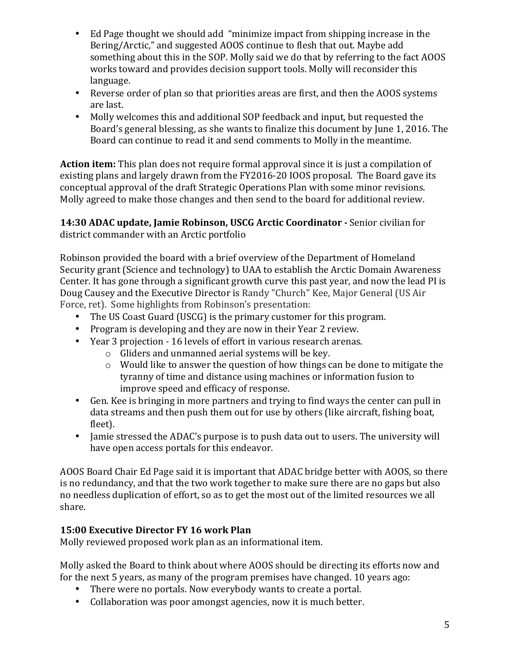- Ed Page thought we should add "minimize impact from shipping increase in the Bering/Arctic," and suggested AOOS continue to flesh that out. Maybe add something about this in the SOP. Molly said we do that by referring to the fact AOOS works toward and provides decision support tools. Molly will reconsider this language.
- Reverse order of plan so that priorities areas are first, and then the AOOS systems are last.
- Molly welcomes this and additional SOP feedback and input, but requested the Board's general blessing, as she wants to finalize this document by June 1, 2016. The Board can continue to read it and send comments to Molly in the meantime.

**Action item:** This plan does not require formal approval since it is just a compilation of existing plans and largely drawn from the FY2016-20 IOOS proposal. The Board gave its conceptual approval of the draft Strategic Operations Plan with some minor revisions. Molly agreed to make those changes and then send to the board for additional review.

**14:30 ADAC update, Jamie Robinson, USCG Arctic Coordinator - Senior civilian for** district commander with an Arctic portfolio

Robinson provided the board with a brief overview of the Department of Homeland Security grant (Science and technology) to UAA to establish the Arctic Domain Awareness Center. It has gone through a significant growth curve this past year, and now the lead PI is Doug Causey and the Executive Director is Randy "Church" Kee, Major General (US Air Force, ret). Some highlights from Robinson's presentation:

- The US Coast Guard (USCG) is the primary customer for this program.
- Program is developing and they are now in their Year 2 review.
- Year 3 projection 16 levels of effort in various research arenas.
	- $\circ$  Gliders and unmanned aerial systems will be key.
	- $\circ$  Would like to answer the question of how things can be done to mitigate the tyranny of time and distance using machines or information fusion to improve speed and efficacy of response.
- Gen. Kee is bringing in more partners and trying to find ways the center can pull in data streams and then push them out for use by others (like aircraft, fishing boat, fleet).
- Jamie stressed the ADAC's purpose is to push data out to users. The university will have open access portals for this endeavor.

AOOS Board Chair Ed Page said it is important that ADAC bridge better with AOOS, so there is no redundancy, and that the two work together to make sure there are no gaps but also no needless duplication of effort, so as to get the most out of the limited resources we all share.

# **15:00 Executive Director FY 16 work Plan**

Molly reviewed proposed work plan as an informational item.

Molly asked the Board to think about where AOOS should be directing its efforts now and for the next 5 years, as many of the program premises have changed. 10 years ago:

- There were no portals. Now everybody wants to create a portal.
- Collaboration was poor amongst agencies, now it is much better.